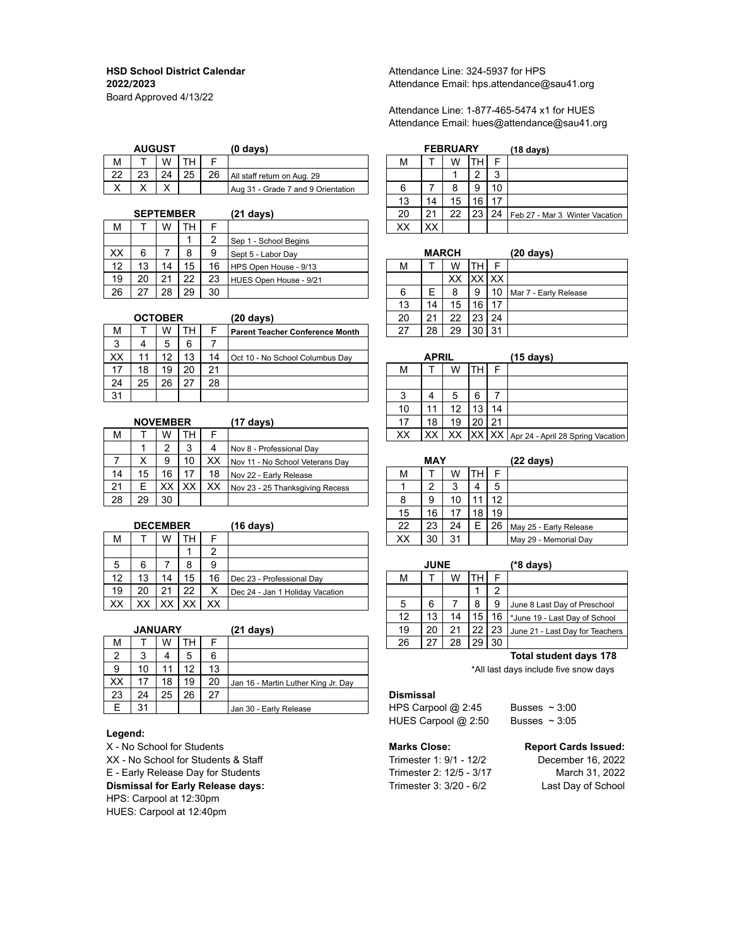Board Approved 4/13/22

|              | <b>AUGUST</b> |                |    |    | (0 days)                           |   | <b>FEBRUARY</b> |        |              | $(18 \text{ days})$ |
|--------------|---------------|----------------|----|----|------------------------------------|---|-----------------|--------|--------------|---------------------|
| M            |               | W              |    |    |                                    | M | W               |        | -            |                     |
| 22           | פר<br>∠J      | 24             | 25 | 26 | All staff return on Aug. 29        |   |                 | $\sim$ | $\sim$<br>ىپ |                     |
| $\checkmark$ | ↗             | $\lambda$<br>↗ |    |    | Aug 31 - Grade 7 and 9 Orientation |   |                 | 9      | 10           |                     |

|    | <b>SEPTEMBER</b> |    |    |    | (21 days)              | 20 | 21           | 22 | 23   | 24   | Feb 27 - Mar  |
|----|------------------|----|----|----|------------------------|----|--------------|----|------|------|---------------|
| М  |                  | w  | тн | E  |                        | ХX | XX           |    |      |      |               |
|    |                  |    |    | ົ  | Sep 1 - School Begins  |    |              |    |      |      |               |
| XX | 6                |    | 8  | 9  | Sept 5 - Labor Day     |    | <b>MARCH</b> |    |      |      | (20 days)     |
| 12 | 13               | 14 | 15 | 16 | HPS Open House - 9/13  | M  |              | W  | тн   |      |               |
| 19 | 20               | 21 | 22 | 23 | HUES Open House - 9/21 |    |              | ХX | XX I | . XX |               |
| 26 | דר               | 28 | 29 | 30 |                        | 6  | F            |    | 9    | 10   | Mar 7 - Farly |

|    | <b>OCTOBER</b> |    |    |    | $(20 \text{ days})$                    | 20 | 21           | 22 | 23  | 24 |           |
|----|----------------|----|----|----|----------------------------------------|----|--------------|----|-----|----|-----------|
| M  |                | W  | TН |    | <b>Parent Teacher Conference Month</b> | つフ | 28           | 29 | 30  | 31 |           |
| 3  |                | 5  | 6  |    |                                        |    |              |    |     |    |           |
| XX | 11             | 12 | 13 | 14 | Oct 10 - No School Columbus Dav        |    | <b>APRIL</b> |    |     |    | (15 days) |
| 17 | 18             | 19 | 20 | 21 |                                        | M  |              | W  | TH. |    |           |
| 24 | 25             | 26 | 27 | 28 |                                        |    |              |    |     |    |           |
| 31 |                |    |    |    |                                        | ົ  | 4            | 5  | 6   |    |           |

|    | <b>NOVEMBER</b> |    |    |    | (17 days)                       |    | 18         | 19     | 20 21 |    |                                            |
|----|-----------------|----|----|----|---------------------------------|----|------------|--------|-------|----|--------------------------------------------|
| М  |                 | w  | TН | Е  |                                 | XX | XX         |        |       |    | XX XX XX Apr 24 - April 28 Spring Vacation |
|    |                 | ົ  |    | 4  | I Nov 8 - Professional Day      |    |            |        |       |    |                                            |
|    | ⌒               | 9  | 10 | ХX | Nov 11 - No School Veterans Day |    | <b>MAY</b> |        |       |    | (22 days)                                  |
| 14 | 15              | 16 | 17 | 18 | Nov 22 - Early Release          | м  |            | W      | TH    | Е  |                                            |
| 21 |                 | XХ | ХX | ХX | Nov 23 - 25 Thanksgiving Recess |    | ◠          | ว<br>ت |       | 5  |                                            |
| 28 | 29              | 30 |    |    |                                 | 8  | a          | 10     |       | 12 |                                            |

|    | <b>DECEMBER</b> |    |    |        | (16 days)                       | 22 | 23          | 24 |    |   | 26   May 25 - Early Release  |
|----|-----------------|----|----|--------|---------------------------------|----|-------------|----|----|---|------------------------------|
| М  |                 | W  | TН | E      |                                 | XХ | 30          | 31 |    |   | Mav 29 - Memorial Dav        |
|    |                 |    |    | ◠<br>ے |                                 |    |             |    |    |   |                              |
| 5  | 6               |    | 8  | 9      |                                 |    | <b>JUNE</b> |    |    |   | (*8 days)                    |
| 12 | 13              | 14 | 15 | 16     | Dec 23 - Professional Dav       | М  |             | W  | TН |   |                              |
| 19 | 20              | 21 | 22 | X      | Dec 24 - Jan 1 Holiday Vacation |    |             |    |    | っ |                              |
| XХ | XХ              | XX | XX | XХ     |                                 | 5  | 6           |    | 8  | 9 | June 8 Last Day of Preschool |
|    |                 |    |    |        |                                 |    |             |    |    |   |                              |

|    | <b>JANUARY</b> |    |    |    | (21 days)                           | 19                  | 20 | 21 | 22 | 23        |
|----|----------------|----|----|----|-------------------------------------|---------------------|----|----|----|-----------|
| М  |                | W  | ΓН | F  |                                     | 26                  | דר | 28 | 29 | 30        |
| 2  | 3              | 4  | 5  | 6  |                                     |                     |    |    |    |           |
| 9  | 10             | 11 | 12 | 13 |                                     |                     |    |    |    | *All last |
| XХ | 17             | 18 | 19 | 20 | Jan 16 - Martin Luther King Jr. Day |                     |    |    |    |           |
| 23 | 24             | 25 | 26 | 27 |                                     | <b>Dismissal</b>    |    |    |    |           |
| Е  | 31             |    |    |    | Jan 30 - Early Release              | HPS Carpool $@2:45$ |    |    |    |           |

### **Legend:**

X - No School for Students **Marks Close: Report Cards Issued:** XX - No School for Students & Staff Trimester 1: 9/1 - 12/2 December 16, 2022 E - Early Release Day for Students Trimester 2: 12/5 - 3/17 March 31, 2022 **Dismissal for Early Release days:** Trimester 3: 3/20 - 6/2 Last Day of School HPS: Carpool at 12:30pm HUES: Carpool at 12:40pm

HSD School District Calendar Attendance Line: 324-5937 for HPS **2022/2023** Attendance Email: hps.attendance@sau41.org

### Attendance Line: 1-877-465-5474 x1 for HUES Attendance Email: hues@attendance@sau41.org

| <b>AUGUST</b>    |    |    |    | $(0 \text{ days})$                 |    |    | <b>FEBRUARY</b> |     |        | $(18 \text{ days})$            |
|------------------|----|----|----|------------------------------------|----|----|-----------------|-----|--------|--------------------------------|
|                  | W  | TН |    |                                    | M  |    | W               | TH. |        |                                |
| 23               | 24 | 25 | 26 | All staff return on Aug. 29        |    |    |                 |     | ີ<br>w |                                |
|                  | X  |    |    | Aug 31 - Grade 7 and 9 Orientation | 6  |    | 8               | -9  | 10     |                                |
|                  |    |    |    |                                    | 13 | 14 | 15              | 16  | 17     |                                |
| <b>SEPTEMBER</b> |    |    |    | (21 days)                          | 20 | 21 | 22              | 23  | 24     | Feb 27 - Mar 3 Winter Vacation |
|                  | W  | TН |    |                                    | XX | XX |                 |     |        |                                |

| XХ | 6              |    | 8  | 9  | Sept 5 - Labor Day                     |    | <b>MARCH</b> |    |              |    | $(20 \text{ days})$   |
|----|----------------|----|----|----|----------------------------------------|----|--------------|----|--------------|----|-----------------------|
| 12 | 13             | 14 | 15 | 16 | HPS Open House - 9/13                  | М  |              | W  | TН           |    |                       |
| 19 | 20             | 21 | 22 | 23 | HUES Open House - 9/21                 |    |              | XX | <b>XX XX</b> |    |                       |
| 26 | 27             | 28 | 29 | 30 |                                        | 6  | E            | 8  | 9            | 10 | Mar 7 - Early Release |
|    |                |    |    |    |                                        | 13 | 14           | 15 | 16           | 17 |                       |
|    | <b>OCTOBER</b> |    |    |    | (20 days)                              | 20 | 21           | 22 | 23           | 24 |                       |
| M  |                | W  | TH |    | <b>Parent Teacher Conference Month</b> | 27 | 28           | 29 | 30           | 31 |                       |

|    | <b>APRIL</b> |    |    |    | $(15 \text{ days})$                              |
|----|--------------|----|----|----|--------------------------------------------------|
| М  |              | w  | тн | F  |                                                  |
|    |              |    |    |    |                                                  |
| 3  |              | 5  | 6  |    |                                                  |
| 10 | 11           | 12 | 13 | 14 |                                                  |
| 17 | 18           | 19 | 20 | 21 |                                                  |
| XX | XХ           |    |    |    | XX   XX   XX   Apr 24 - April 28 Spring Vacation |

|    | MAY |    |    |    | $(22 \text{ days})$    |
|----|-----|----|----|----|------------------------|
| М  |     | W  |    | F  |                        |
|    | 2   | 3  | 4  | 5  |                        |
| 8  | 9   | 10 |    | 12 |                        |
| 15 | 16  | 17 | 18 | 19 |                        |
| 22 | 23  | 24 | Е  | 26 | May 25 - Early Release |
| XХ | 30  | 31 |    |    | May 29 - Memorial Day  |

| 6              |    | 8  | 9      |                                 |    | <b>JUNE</b> |    |    |    | $(*8$ days)                      |
|----------------|----|----|--------|---------------------------------|----|-------------|----|----|----|----------------------------------|
| 13             | 14 | 15 | 16     | Dec 23 - Professional Dav       | М  |             | W  | тн |    |                                  |
| 20             | 21 | 22 | v<br>⋏ | Dec 24 - Jan 1 Holiday Vacation |    |             |    |    | ◠  |                                  |
| XX             | ХX | XХ | XХ     |                                 | 5  | 6           |    | 8  |    | June 8 Last Day of Preschool     |
|                |    |    |        |                                 | 12 | 13          | 14 | 15 | 16 | Utiliant 19 - Last Day of School |
| <b>JANUARY</b> |    |    |        | (21 days)                       | 19 | 20          | 21 | 22 | 23 | June 21 - Last Day for Teachers  |
|                | W  | TН |        |                                 | 26 | 27          | 28 | 29 | 30 |                                  |
|                |    |    |        |                                 |    |             |    |    |    |                                  |

### **Total student days 178**

\*All last days include five snow days

### Dismissal

HPS Carpool  $@2:45$  Busses ~ 3:00 HUES Carpool  $@2:50$  Busses ~ 3:05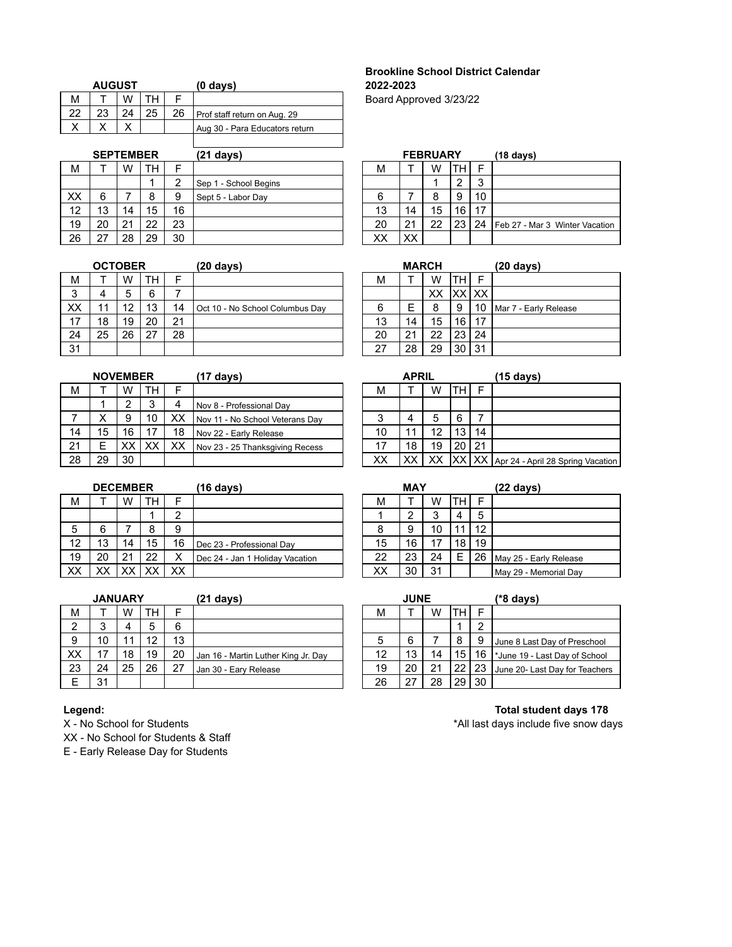|  |               |    | $(0 \text{ days})$             |
|--|---------------|----|--------------------------------|
|  |               |    |                                |
|  |               | 26 | Prof staff return on Aug. 29   |
|  |               |    | Aug 30 - Para Educators return |
|  | <b>AUGUST</b> |    |                                |

|    | <b>SEPTEMBER</b> |    |           |    | (21 days)             |    |    | <b>FEBRUARY</b> |                 |    | $(18 \text{ days})$            |
|----|------------------|----|-----------|----|-----------------------|----|----|-----------------|-----------------|----|--------------------------------|
| М  |                  | W  | <b>TH</b> | ⊏  |                       | М  |    | W               | <b>TH</b>       | F  |                                |
|    |                  |    |           | ົ  | Sep 1 - School Begins |    |    |                 | ົ               | 3  |                                |
| XX | 6                |    | 8         | 9  | Sept 5 - Labor Day    | 6  |    | 8               | -9              | 10 |                                |
| 12 | 13               | 14 | 15        | 16 |                       | 13 | 14 | 15              | 16              | 17 |                                |
| 19 | 20               | 21 | 22        | 23 |                       | 20 | 21 | 22              | 23 <sup>1</sup> | 24 | Feb 27 - Mar 3 Winter Vacation |
| 26 | -27              | 28 | 29        | 30 |                       | ХX | XX |                 |                 |    |                                |

|    | <b>OCTOBER</b> |    |     |    | $(20 \text{ days})$             |    | <b>MARCH</b> |    | $(20 \text{ days})$ |     |                       |
|----|----------------|----|-----|----|---------------------------------|----|--------------|----|---------------------|-----|-----------------------|
| м  |                | W  | TH. |    |                                 | М  |              | W  | TН                  |     |                       |
| 3  | 4              | 5  | 6   |    |                                 |    |              | XХ | XXIXX               |     |                       |
| ХX | 11             | 12 | 13  | 14 | Oct 10 - No School Columbus Day | 6  | Е            | 8  | 9                   | 10  | Mar 7 - Early Release |
| 17 | 18             | 19 | 20  | 21 |                                 | 13 | 14           | 15 | 16                  | -17 |                       |
| 24 | 25             | 26 | 27  | 28 |                                 | 20 | 21           | 22 | 23                  | 24  |                       |
| 31 |                |    |     |    |                                 | 27 | 28           | 29 | 30                  | 31  |                       |

|    | <b>NOVEMBER</b><br>(17 days) |    |    |    |                                 |    | <b>APRIL</b> |    |       |    | (15 days)         |
|----|------------------------------|----|----|----|---------------------------------|----|--------------|----|-------|----|-------------------|
| М  |                              | W  | TH | ⊏  |                                 | м  |              | W  | TН    |    |                   |
|    |                              | ◠  | 3  |    | Nov 8 - Professional Dav        |    |              |    |       |    |                   |
|    | х                            | 9  | 10 | XХ | Nov 11 - No School Veterans Dav | 3  | 4            | 5  | 6     |    |                   |
| 14 | 15                           | 16 | 17 | 18 | Nov 22 - Early Release          | 10 | 11           | 12 | 13    | 14 |                   |
| 21 | E                            | XХ | XХ | XХ | Nov 23 - 25 Thanksgiving Recess | 17 | 18           | 19 | 20    | 21 |                   |
| 28 | 29                           | 30 |    |    |                                 | XХ |              | ХX | IXX I |    | XX Apr 24 - April |

|    | <b>DECEMBER</b> |     |    |        | (16 days)                       |    | MAY |    | (22 days) |    |                         |
|----|-----------------|-----|----|--------|---------------------------------|----|-----|----|-----------|----|-------------------------|
| М  |                 | W   | TН | Е      |                                 | м  |     | W  | TН        | Е  |                         |
|    |                 |     |    | ◠      |                                 |    | ົ   |    | 4         | 5  |                         |
| 5  | 6               |     | 8  | 9      |                                 | 8  | 9   | 10 |           | 12 |                         |
| 12 | 13              | 14  | 15 | 16     | Dec 23 - Professional Day       | 15 | 16  | 17 | 18        | 19 |                         |
| 19 | 20              | 21  | 22 | v<br>∧ | Dec 24 - Jan 1 Holiday Vacation | 22 | 23  | 24 |           | 26 | May 25 - Early Release  |
| ХX | xх              | vv. |    | XХ     |                                 | ХX | 30  | 31 |           |    | l Mav 29 - Memorial Dav |

|    | <b>JANUARY</b> |    |    |    | (21 days)                           |    | <b>JUNE</b> |    |    | (*8 days) |                                   |  |
|----|----------------|----|----|----|-------------------------------------|----|-------------|----|----|-----------|-----------------------------------|--|
| м  |                | W  | TH | E  |                                     | М  |             | W  | тн |           |                                   |  |
| ◠  |                |    | 5  | 6  |                                     |    |             |    |    | റ         |                                   |  |
| 9  | 10             |    | 12 | 13 |                                     | 5  | 6           |    | 8  | 9         | June 8 Last Day of Preschool      |  |
| XX | 47             | 18 | 19 | 20 | Jan 16 - Martin Luther King Jr. Day | 12 | 13          | 14 | 15 | 16        | Utiliance 19 - Last Day of School |  |
| 23 | 24             | 25 | 26 | 27 | Jan 30 - Eary Release               | 19 | 20          | 21 | 22 | 23        | June 20- Last Day for Teachers    |  |
| E  | 31             |    |    |    |                                     | 26 |             | 28 | 29 | 30        |                                   |  |

XX - No School for Students & Staff

E - Early Release Day for Students

# **Brookline School District Calendar AUGUST (0 days) 2022-2023**

Board Approved 3/23/22

|    |    | <b>FEBRUARY</b> |    |    | $(18 \text{ days})$            |
|----|----|-----------------|----|----|--------------------------------|
| М  |    | W               |    | F  |                                |
|    |    |                 | 2  | 3  |                                |
| 6  |    | 8               | 9  | 10 |                                |
| 13 | 14 | 15              | 16 | 17 |                                |
| 20 | 21 | 22              | 23 | 24 | Feb 27 - Mar 3 Winter Vacation |
| XХ |    |                 |    |    |                                |

|    | <b>MARCH</b> |    |         |    | (20 days)             |
|----|--------------|----|---------|----|-----------------------|
| М  |              | W  |         | F  |                       |
|    |              | XХ | XX   XX |    |                       |
| 6  | Е            | 8  | 9       | 10 | Mar 7 - Early Release |
| 13 | 14           | 15 | 16      | 17 |                       |
| 20 | 21           | 22 | 23      | 24 |                       |
| 27 | 28           | 29 | 30      | 31 |                       |

|    | <b>NOVEMBER</b> |     |        |    | (17 days)                       |        | <b>APRIL</b> |    |    |    | (15 days)                                   |  |  |  |
|----|-----------------|-----|--------|----|---------------------------------|--------|--------------|----|----|----|---------------------------------------------|--|--|--|
| M  |                 | w   | TН     |    |                                 | М      |              | W  | TН |    |                                             |  |  |  |
|    |                 |     | ົ<br>ມ | 4  | Nov 8 - Professional Dav        |        |              |    |    |    |                                             |  |  |  |
|    | ⌒               | 9   | 10     | XX | Nov 11 - No School Veterans Day | ◠<br>J |              | 5  | -6 |    |                                             |  |  |  |
| 14 | 15              | 16  |        | 18 | Nov 22 - Early Release          | 10     |              | 12 | 13 | 14 |                                             |  |  |  |
| 21 | E               | XX. | XX     | XХ | Nov 23 - 25 Thanksgiving Recess | 17     | 18           | 19 | 20 | 21 |                                             |  |  |  |
| 28 | 29              | 30  |        |    |                                 | XХ     | XХ           | XX |    |    | XX   XX   Apr 24 - April 28 Spring Vacation |  |  |  |

|    | MAY |    |    | $(22 \text{ days})$ |                        |  |  |  |  |
|----|-----|----|----|---------------------|------------------------|--|--|--|--|
| М  |     | W  |    |                     |                        |  |  |  |  |
|    | 2   | 3  |    | 5                   |                        |  |  |  |  |
| 8  | 9   | 10 |    | 12                  |                        |  |  |  |  |
| 15 | 16  | 17 | 18 | 19                  |                        |  |  |  |  |
| 22 | 23  | 24 | E  | 26                  | May 25 - Early Release |  |  |  |  |
| XХ | 30  | 31 |    |                     | May 29 - Memorial Day  |  |  |  |  |

|    | <b>JUNE</b> |    |    |    | (*8 days)                      |  |  |  |  |  |  |
|----|-------------|----|----|----|--------------------------------|--|--|--|--|--|--|
| М  |             | W  |    |    |                                |  |  |  |  |  |  |
|    |             |    |    | 2  |                                |  |  |  |  |  |  |
| 5  | 6           |    | 8  | 9  | June 8 Last Day of Preschool   |  |  |  |  |  |  |
| 12 | 13          | 14 | 15 | 16 | *June 19 - Last Day of School  |  |  |  |  |  |  |
| 19 | 20          | 21 | 22 | 23 | June 20- Last Day for Teachers |  |  |  |  |  |  |
| 26 |             | 28 |    | 30 |                                |  |  |  |  |  |  |

## **Legend: Total student days 178**<br>X - No School for Students **No School for Students Total student days** include five snow da \*All last days include five snow days